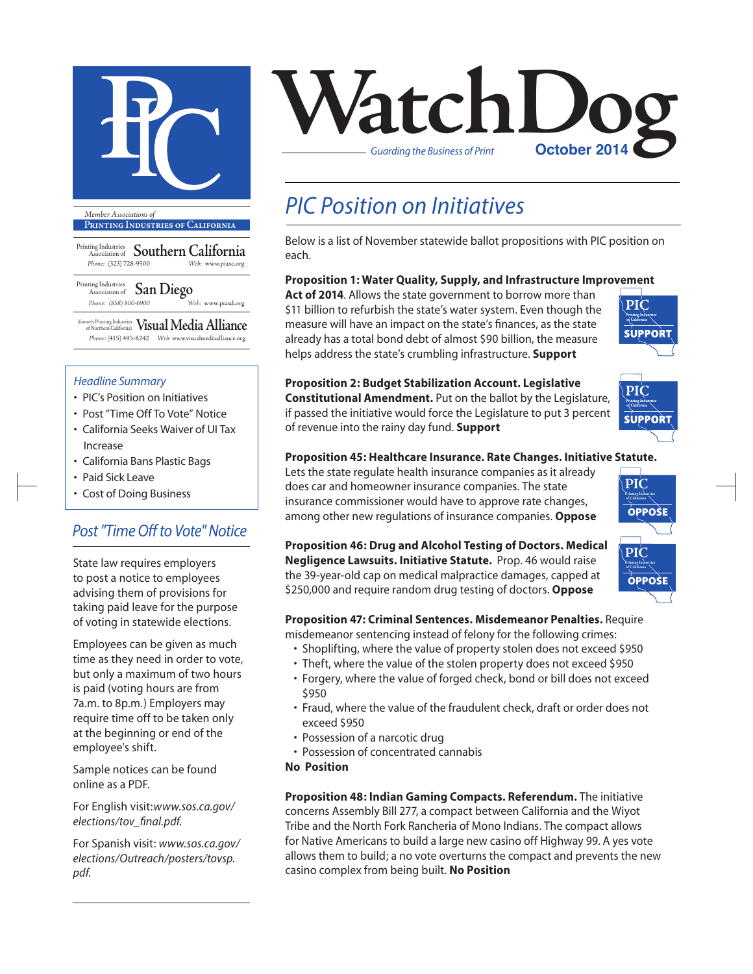

#### **Printing Industries of California**

Printing Industries Association of **Southern California** *Phone:* (323) 728-9500 *Web:* www.piasc.org

Printing Industries Association of **San Diego** *Phone: (858) 800-6900 Web:* www.piasd.org

(formerly Printing Industries of Northern California) **Visual Media Alliance** *Phone:* (415) 495-8242 *Web:* www.visualmediaalliance.org

#### *Headline Summary*

- PIC's Position on Initiatives
- Post "Time Off To Vote" Notice
- California Seeks Waiver of UI Tax Increase
- California Bans Plastic Bags
- Paid Sick Leave
- Cost of Doing Business

### *Post "Time Off to Vote" Notice*

State law requires employers to post a notice to employees advising them of provisions for taking paid leave for the purpose of voting in statewide elections.

Employees can be given as much time as they need in order to vote, but only a maximum of two hours is paid (voting hours are from 7a.m. to 8p.m.) Employers may require time off to be taken only at the beginning or end of the employee's shift.

Sample notices can be found online as a PDF.

For English visit:*www.sos.ca.gov/ elections/tov\_final.pdf.* 

For Spanish visit: *www.sos.ca.gov/ elections/Outreach/posters/tovsp. pdf.*



### *PIC Position on Initiatives*

Below is a list of November statewide ballot propositions with PIC position on each.

#### **Proposition 1: Water Quality, Supply, and Infrastructure Improvement**

**Act of 2014**. Allows the state government to borrow more than \$11 billion to refurbish the state's water system. Even though the measure will have an impact on the state's finances, as the state already has a total bond debt of almost \$90 billion, the measure helps address the state's crumbling infrastructure. **Support**



SUPPORT

| <b>Proposition 2: Budget Stabilization Account. Legislative</b>        |
|------------------------------------------------------------------------|
| <b>Constitutional Amendment.</b> Put on the ballot by the Legislature, |
| if passed the initiative would force the Legislature to put 3 percent  |
| of revenue into the rainy day fund. Support                            |

#### **Proposition 45: Healthcare Insurance. Rate Changes. Initiative Statute.**

Lets the state regulate health insurance companies as it already does car and homeowner insurance companies. The state insurance commissioner would have to approve rate changes, among other new regulations of insurance companies. **Oppose**

**Proposition 46: Drug and Alcohol Testing of Doctors. Medical Negligence Lawsuits. Initiative Statute.** Prop. 46 would raise the 39-year-old cap on medical malpractice damages, capped at \$250,000 and require random drug testing of doctors. **Oppose**



#### **Proposition 47: Criminal Sentences. Misdemeanor Penalties.** Require

misdemeanor sentencing instead of felony for the following crimes:

- Shoplifting, where the value of property stolen does not exceed \$950
- Theft, where the value of the stolen property does not exceed \$950
- Forgery, where the value of forged check, bond or bill does not exceed \$950
- Fraud, where the value of the fraudulent check, draft or order does not exceed \$950
- Possession of a narcotic drug
- Possession of concentrated cannabis

#### **No Position**

**Proposition 48: Indian Gaming Compacts. Referendum.** The initiative concerns Assembly Bill 277, a compact between California and the Wiyot Tribe and the North Fork Rancheria of Mono Indians. The compact allows for Native Americans to build a large new casino off Highway 99. A yes vote allows them to build; a no vote overturns the compact and prevents the new casino complex from being built. **No Position**